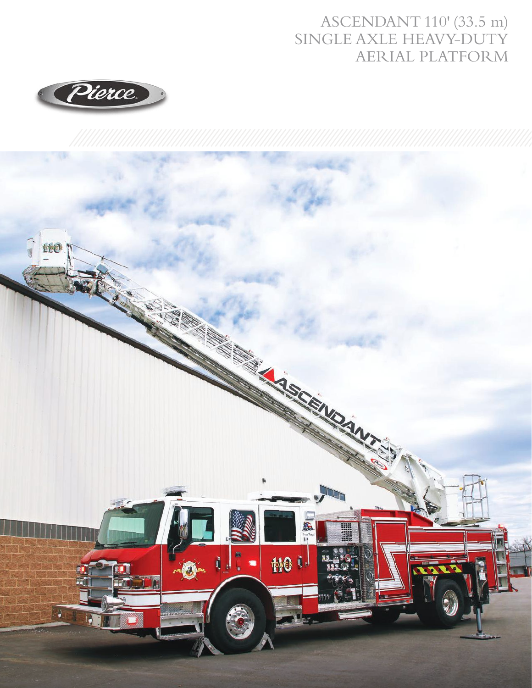## ASCENDANT 110' (33.5 m) SINGLE AXLE HEAVY-DUTY AERIAL PLATFORM